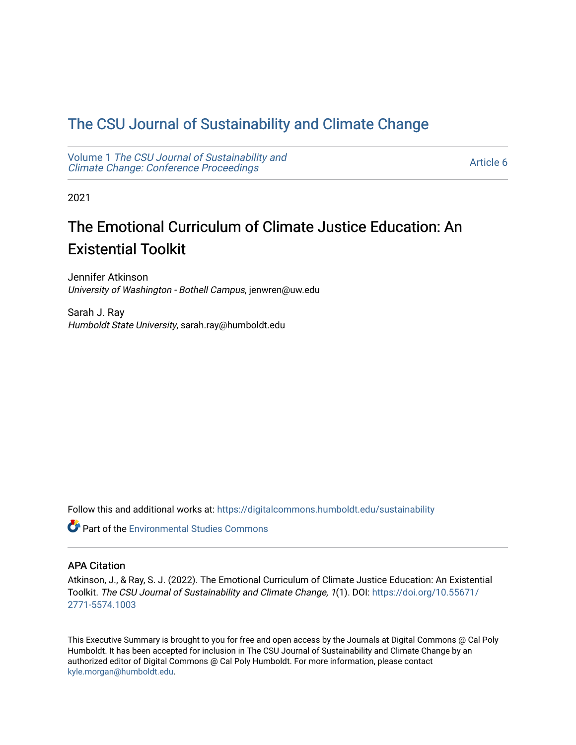### [The CSU Journal of Sustainability and Climate Change](https://digitalcommons.humboldt.edu/sustainability)

Volume 1 [The CSU Journal of Sustainability and](https://digitalcommons.humboldt.edu/sustainability/vol1) [Climate Change: Conference Proceedings](https://digitalcommons.humboldt.edu/sustainability/vol1) 

[Article 6](https://digitalcommons.humboldt.edu/sustainability/vol1/iss1/6) 

2021

## The Emotional Curriculum of Climate Justice Education: An Existential Toolkit

Jennifer Atkinson University of Washington - Bothell Campus, jenwren@uw.edu

Sarah J. Ray Humboldt State University, sarah.ray@humboldt.edu

Follow this and additional works at: [https://digitalcommons.humboldt.edu/sustainability](https://digitalcommons.humboldt.edu/sustainability?utm_source=digitalcommons.humboldt.edu%2Fsustainability%2Fvol1%2Fiss1%2F6&utm_medium=PDF&utm_campaign=PDFCoverPages)

**C** Part of the [Environmental Studies Commons](http://network.bepress.com/hgg/discipline/1333?utm_source=digitalcommons.humboldt.edu%2Fsustainability%2Fvol1%2Fiss1%2F6&utm_medium=PDF&utm_campaign=PDFCoverPages)

#### APA Citation

Atkinson, J., & Ray, S. J. (2022). The Emotional Curriculum of Climate Justice Education: An Existential Toolkit. The CSU Journal of Sustainability and Climate Change, 1(1). DOI: [https://doi.org/10.55671/](https://doi.org/10.55671/2771-5574.1003) [2771-5574.1003](https://doi.org/10.55671/2771-5574.1003) 

This Executive Summary is brought to you for free and open access by the Journals at Digital Commons @ Cal Poly Humboldt. It has been accepted for inclusion in The CSU Journal of Sustainability and Climate Change by an authorized editor of Digital Commons @ Cal Poly Humboldt. For more information, please contact [kyle.morgan@humboldt.edu](mailto:kyle.morgan@humboldt.edu).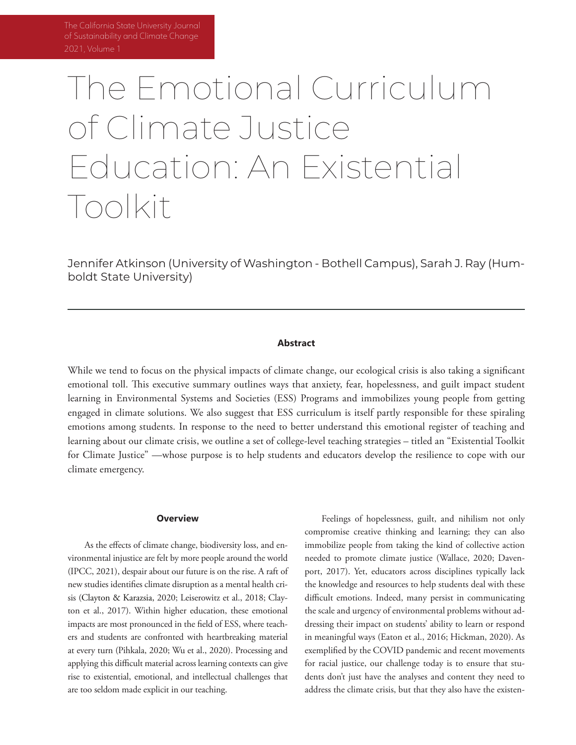# The Emotional Curriculum of Climate Justice Education: An Existential Toolkit

Jennifer Atkinson (University of Washington - Bothell Campus), Sarah J. Ray (Humboldt State University)

#### **Abstract**

While we tend to focus on the physical impacts of climate change, our ecological crisis is also taking a significant emotional toll. This executive summary outlines ways that anxiety, fear, hopelessness, and guilt impact student learning in Environmental Systems and Societies (ESS) Programs and immobilizes young people from getting engaged in climate solutions. We also suggest that ESS curriculum is itself partly responsible for these spiraling emotions among students. In response to the need to better understand this emotional register of teaching and learning about our climate crisis, we outline a set of college-level teaching strategies – titled an "Existential Toolkit for Climate Justice" —whose purpose is to help students and educators develop the resilience to cope with our climate emergency.

#### **Overview**

As the effects of climate change, biodiversity loss, and environmental injustice are felt by more people around the world (IPCC, 2021), despair about our future is on the rise. A raft of new studies identifies climate disruption as a mental health crisis (Clayton & Karazsia, 2020; Leiserowitz et al., 2018; Clayton et al., 2017). Within higher education, these emotional impacts are most pronounced in the field of ESS, where teachers and students are confronted with heartbreaking material at every turn (Pihkala, 2020; Wu et al., 2020). Processing and applying this difficult material across learning contexts can give rise to existential, emotional, and intellectual challenges that are too seldom made explicit in our teaching.

Feelings of hopelessness, guilt, and nihilism not only compromise creative thinking and learning; they can also immobilize people from taking the kind of collective action needed to promote climate justice (Wallace, 2020; Davenport, 2017). Yet, educators across disciplines typically lack the knowledge and resources to help students deal with these difficult emotions. Indeed, many persist in communicating the scale and urgency of environmental problems without addressing their impact on students' ability to learn or respond in meaningful ways (Eaton et al., 2016; Hickman, 2020). As exemplified by the COVID pandemic and recent movements for racial justice, our challenge today is to ensure that students don't just have the analyses and content they need to address the climate crisis, but that they also have the existen-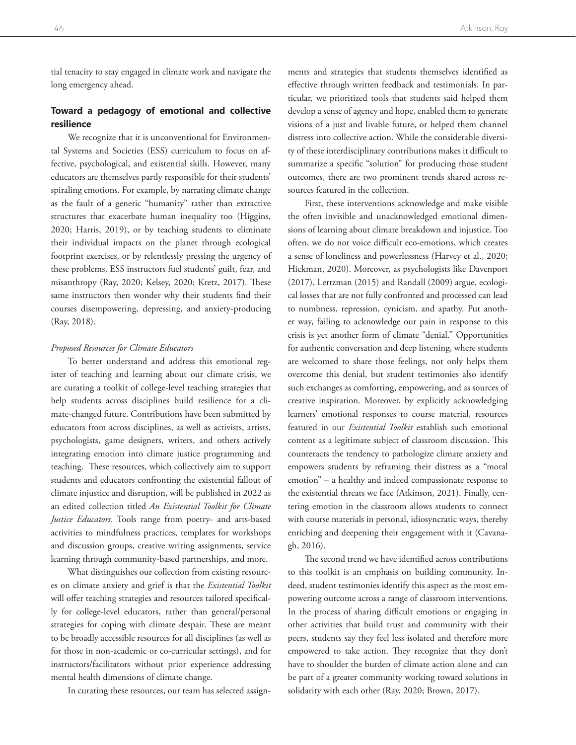tial tenacity to stay engaged in climate work and navigate the long emergency ahead.

#### **Toward a pedagogy of emotional and collective resilience**

We recognize that it is unconventional for Environmental Systems and Societies (ESS) curriculum to focus on affective, psychological, and existential skills. However, many educators are themselves partly responsible for their students' spiraling emotions. For example, by narrating climate change as the fault of a generic "humanity" rather than extractive structures that exacerbate human inequality too (Higgins, 2020; Harris, 2019), or by teaching students to eliminate their individual impacts on the planet through ecological footprint exercises, or by relentlessly pressing the urgency of these problems, ESS instructors fuel students' guilt, fear, and misanthropy (Ray, 2020; Kelsey, 2020; Kretz, 2017). These same instructors then wonder why their students find their courses disempowering, depressing, and anxiety-producing (Ray, 2018).

#### *Proposed Resources for Climate Educators*

To better understand and address this emotional register of teaching and learning about our climate crisis, we are curating a toolkit of college-level teaching strategies that help students across disciplines build resilience for a climate-changed future. Contributions have been submitted by educators from across disciplines, as well as activists, artists, psychologists, game designers, writers, and others actively integrating emotion into climate justice programming and teaching. These resources, which collectively aim to support students and educators confronting the existential fallout of climate injustice and disruption, will be published in 2022 as an edited collection titled *An Existential Toolkit for Climate Justice Educators*. Tools range from poetry- and arts-based activities to mindfulness practices, templates for workshops and discussion groups, creative writing assignments, service learning through community-based partnerships, and more.

What distinguishes our collection from existing resources on climate anxiety and grief is that the *Existential Toolkit* will offer teaching strategies and resources tailored specifically for college-level educators, rather than general/personal strategies for coping with climate despair. These are meant to be broadly accessible resources for all disciplines (as well as for those in non-academic or co-curricular settings), and for instructors/facilitators without prior experience addressing mental health dimensions of climate change.

In curating these resources, our team has selected assign-

ments and strategies that students themselves identified as effective through written feedback and testimonials. In particular, we prioritized tools that students said helped them develop a sense of agency and hope, enabled them to generate visions of a just and livable future, or helped them channel distress into collective action. While the considerable diversity of these interdisciplinary contributions makes it difficult to summarize a specific "solution" for producing those student outcomes, there are two prominent trends shared across resources featured in the collection.

First, these interventions acknowledge and make visible the often invisible and unacknowledged emotional dimensions of learning about climate breakdown and injustice. Too often, we do not voice difficult eco-emotions, which creates a sense of loneliness and powerlessness (Harvey et al., 2020; Hickman, 2020). Moreover, as psychologists like Davenport (2017), Lertzman (2015) and Randall (2009) argue, ecological losses that are not fully confronted and processed can lead to numbness, repression, cynicism, and apathy. Put another way, failing to acknowledge our pain in response to this crisis is yet another form of climate "denial." Opportunities for authentic conversation and deep listening, where students are welcomed to share those feelings, not only helps them overcome this denial, but student testimonies also identify such exchanges as comforting, empowering, and as sources of creative inspiration. Moreover, by explicitly acknowledging learners' emotional responses to course material, resources featured in our *Existential Toolkit* establish such emotional content as a legitimate subject of classroom discussion. This counteracts the tendency to pathologize climate anxiety and empowers students by reframing their distress as a "moral emotion" – a healthy and indeed compassionate response to the existential threats we face (Atkinson, 2021). Finally, centering emotion in the classroom allows students to connect with course materials in personal, idiosyncratic ways, thereby enriching and deepening their engagement with it (Cavanagh, 2016).

The second trend we have identified across contributions to this toolkit is an emphasis on building community. Indeed, student testimonies identify this aspect as the most empowering outcome across a range of classroom interventions. In the process of sharing difficult emotions or engaging in other activities that build trust and community with their peers, students say they feel less isolated and therefore more empowered to take action. They recognize that they don't have to shoulder the burden of climate action alone and can be part of a greater community working toward solutions in solidarity with each other (Ray, 2020; Brown, 2017).